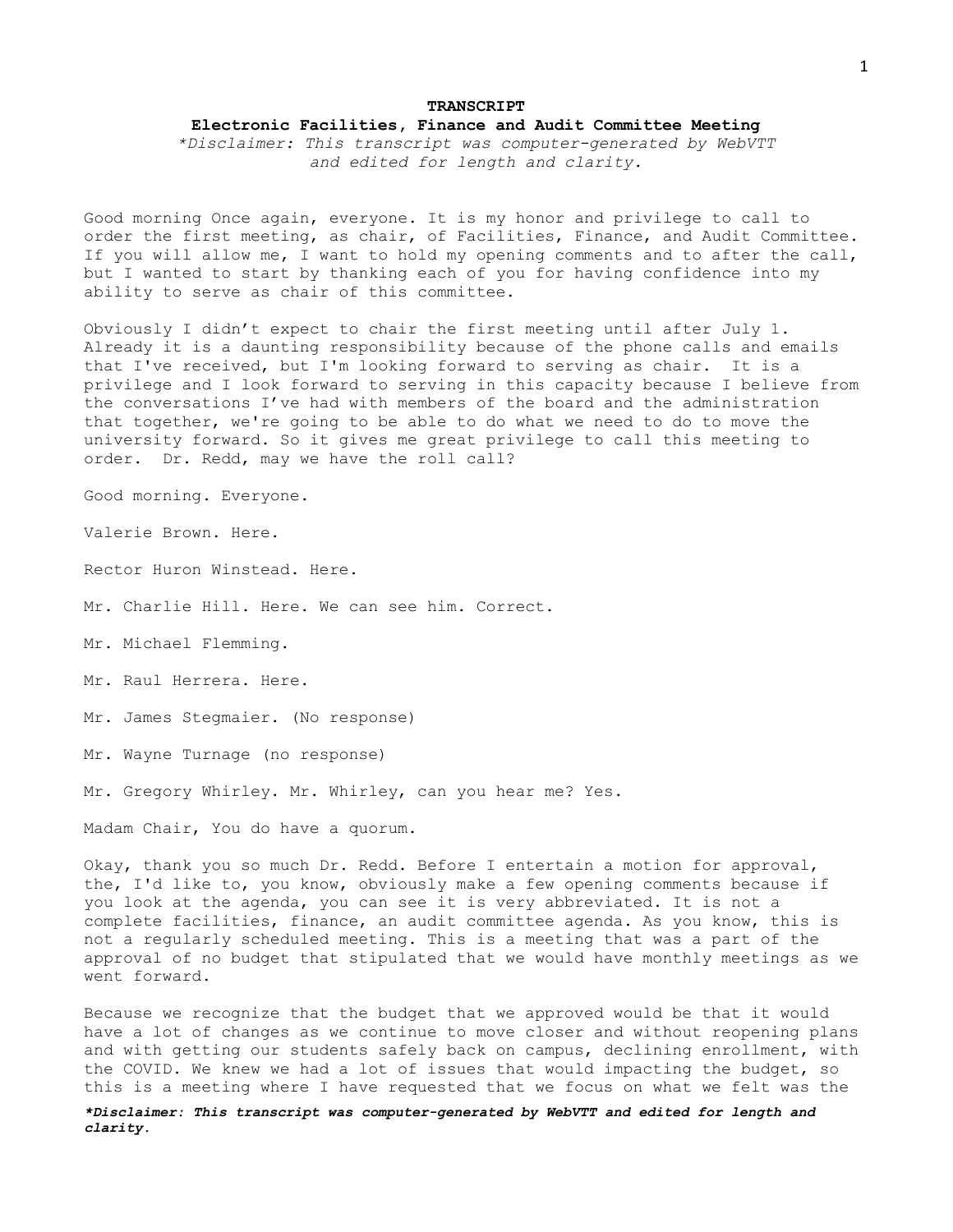## **TRANSCRIPT Electronic Facilities, Finance and Audit Committee Meeting**

*\*Disclaimer: This transcript was computer-generated by WebVTT and edited for length and clarity.*

Good morning Once again, everyone. It is my honor and privilege to call to order the first meeting, as chair, of Facilities, Finance, and Audit Committee. If you will allow me, I want to hold my opening comments and to after the call, but I wanted to start by thanking each of you for having confidence into my ability to serve as chair of this committee.

Obviously I didn't expect to chair the first meeting until after July 1. Already it is a daunting responsibility because of the phone calls and emails that I've received, but I'm looking forward to serving as chair. It is a privilege and I look forward to serving in this capacity because I believe from the conversations I've had with members of the board and the administration that together, we're going to be able to do what we need to do to move the university forward. So it gives me great privilege to call this meeting to order. Dr. Redd, may we have the roll call?

Good morning. Everyone.

Valerie Brown. Here.

Rector Huron Winstead. Here.

Mr. Charlie Hill. Here. We can see him. Correct.

Mr. Michael Flemming.

Mr. Raul Herrera. Here.

Mr. James Stegmaier. (No response)

Mr. Wayne Turnage (no response)

Mr. Gregory Whirley. Mr. Whirley, can you hear me? Yes.

Madam Chair, You do have a quorum.

Okay, thank you so much Dr. Redd. Before I entertain a motion for approval, the, I'd like to, you know, obviously make a few opening comments because if you look at the agenda, you can see it is very abbreviated. It is not a complete facilities, finance, an audit committee agenda. As you know, this is not a regularly scheduled meeting. This is a meeting that was a part of the approval of no budget that stipulated that we would have monthly meetings as we went forward.

Because we recognize that the budget that we approved would be that it would have a lot of changes as we continue to move closer and without reopening plans and with getting our students safely back on campus, declining enrollment, with the COVID. We knew we had a lot of issues that would impacting the budget, so this is a meeting where I have requested that we focus on what we felt was the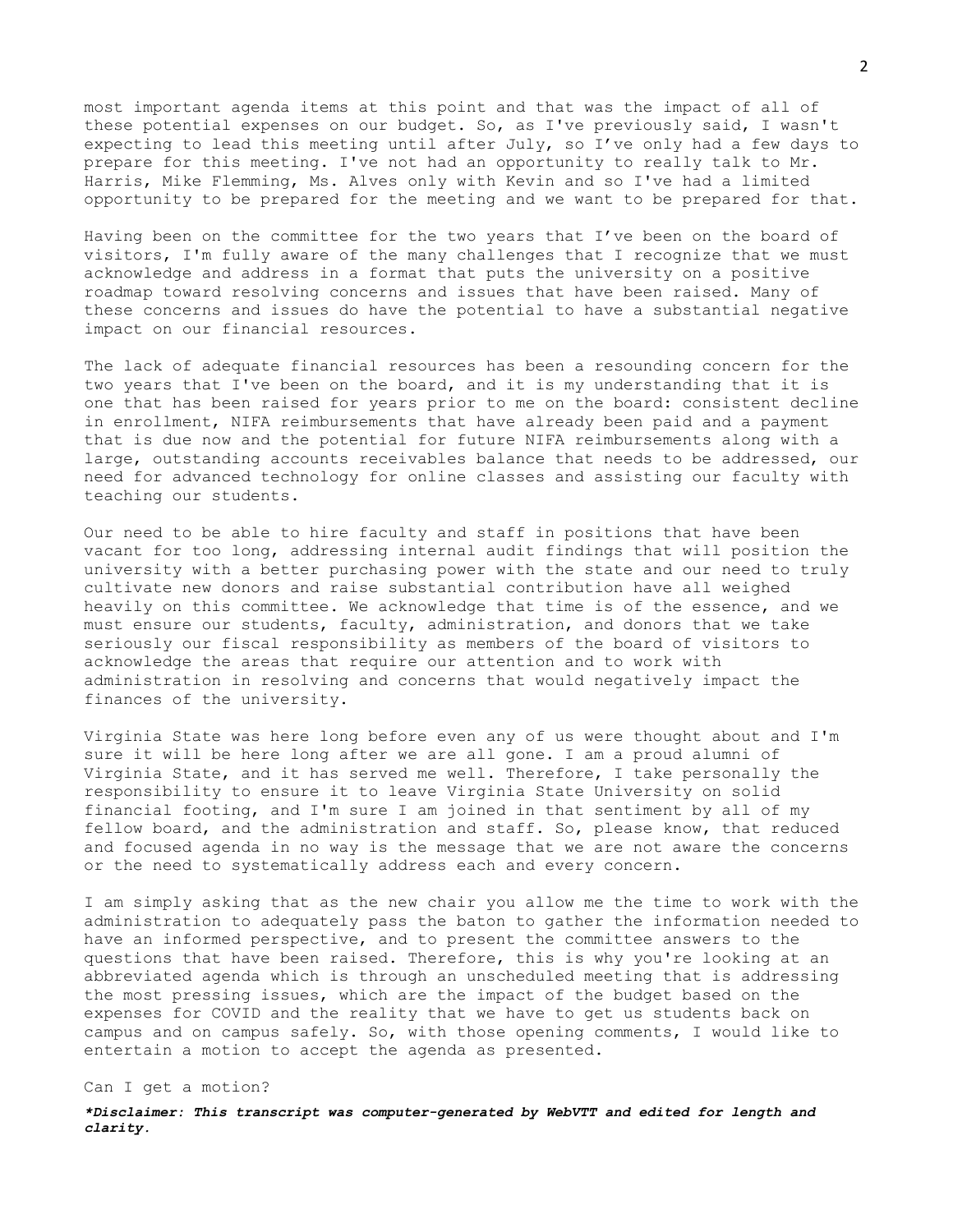most important agenda items at this point and that was the impact of all of these potential expenses on our budget. So, as I've previously said, I wasn't expecting to lead this meeting until after July, so I've only had a few days to prepare for this meeting. I've not had an opportunity to really talk to Mr. Harris, Mike Flemming, Ms. Alves only with Kevin and so I've had a limited opportunity to be prepared for the meeting and we want to be prepared for that.

Having been on the committee for the two years that I've been on the board of visitors, I'm fully aware of the many challenges that I recognize that we must acknowledge and address in a format that puts the university on a positive roadmap toward resolving concerns and issues that have been raised. Many of these concerns and issues do have the potential to have a substantial negative impact on our financial resources.

The lack of adequate financial resources has been a resounding concern for the two years that I've been on the board, and it is my understanding that it is one that has been raised for years prior to me on the board: consistent decline in enrollment, NIFA reimbursements that have already been paid and a payment that is due now and the potential for future NIFA reimbursements along with a large, outstanding accounts receivables balance that needs to be addressed, our need for advanced technology for online classes and assisting our faculty with teaching our students.

Our need to be able to hire faculty and staff in positions that have been vacant for too long, addressing internal audit findings that will position the university with a better purchasing power with the state and our need to truly cultivate new donors and raise substantial contribution have all weighed heavily on this committee. We acknowledge that time is of the essence, and we must ensure our students, faculty, administration, and donors that we take seriously our fiscal responsibility as members of the board of visitors to acknowledge the areas that require our attention and to work with administration in resolving and concerns that would negatively impact the finances of the university.

Virginia State was here long before even any of us were thought about and I'm sure it will be here long after we are all gone. I am a proud alumni of Virginia State, and it has served me well. Therefore, I take personally the responsibility to ensure it to leave Virginia State University on solid financial footing, and I'm sure I am joined in that sentiment by all of my fellow board, and the administration and staff. So, please know, that reduced and focused agenda in no way is the message that we are not aware the concerns or the need to systematically address each and every concern.

I am simply asking that as the new chair you allow me the time to work with the administration to adequately pass the baton to gather the information needed to have an informed perspective, and to present the committee answers to the questions that have been raised. Therefore, this is why you're looking at an abbreviated agenda which is through an unscheduled meeting that is addressing the most pressing issues, which are the impact of the budget based on the expenses for COVID and the reality that we have to get us students back on campus and on campus safely. So, with those opening comments, I would like to entertain a motion to accept the agenda as presented.

## Can I get a motion?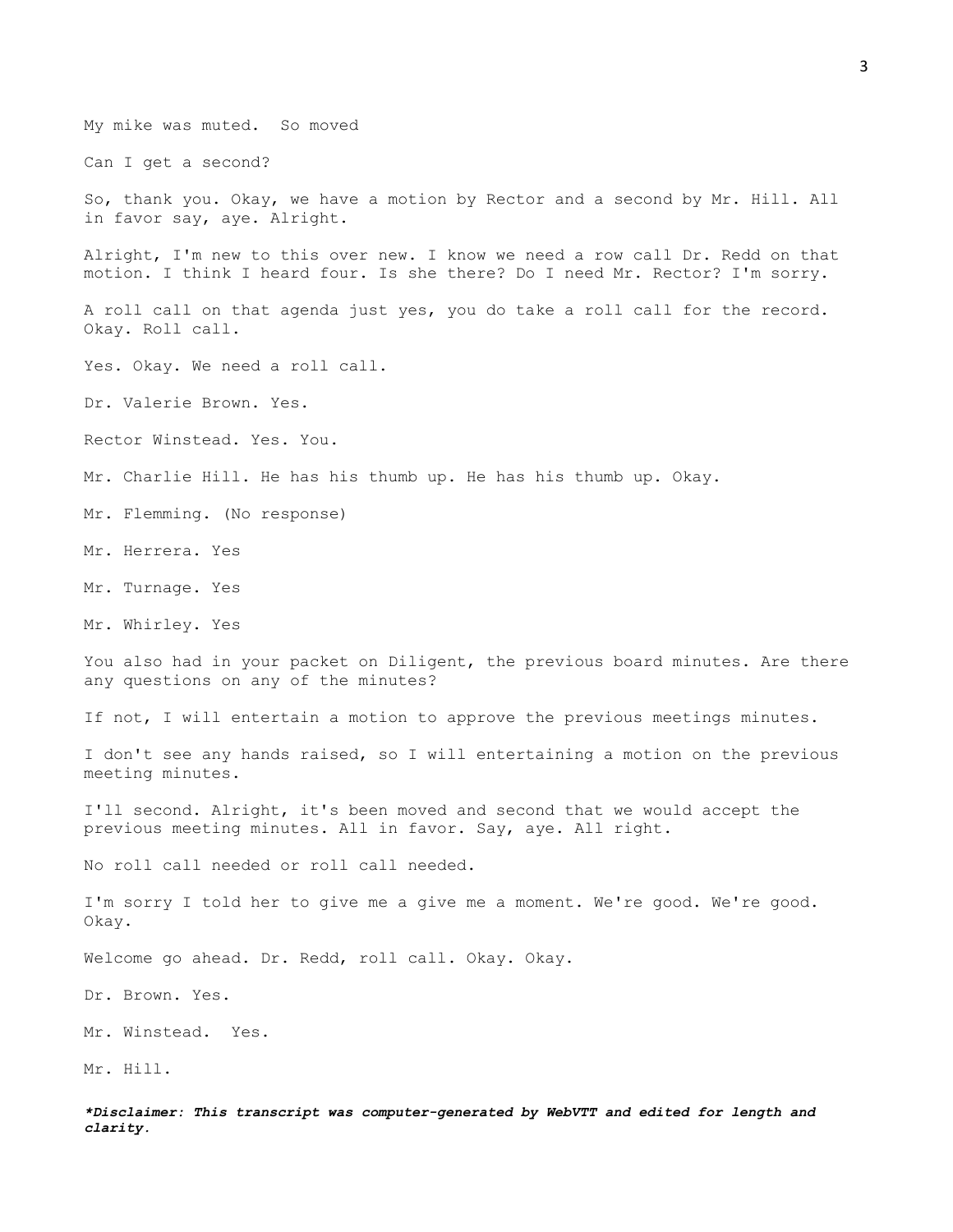*\*Disclaimer: This transcript was computer-generated by WebVTT and edited for length and clarity.* My mike was muted. So moved Can I get a second? So, thank you. Okay, we have a motion by Rector and a second by Mr. Hill. All in favor say, aye. Alright. Alright, I'm new to this over new. I know we need a row call Dr. Redd on that motion. I think I heard four. Is she there? Do I need Mr. Rector? I'm sorry. A roll call on that agenda just yes, you do take a roll call for the record. Okay. Roll call. Yes. Okay. We need a roll call. Dr. Valerie Brown. Yes. Rector Winstead. Yes. You. Mr. Charlie Hill. He has his thumb up. He has his thumb up. Okay. Mr. Flemming. (No response) Mr. Herrera. Yes Mr. Turnage. Yes Mr. Whirley. Yes You also had in your packet on Diligent, the previous board minutes. Are there any questions on any of the minutes? If not, I will entertain a motion to approve the previous meetings minutes. I don't see any hands raised, so I will entertaining a motion on the previous meeting minutes. I'll second. Alright, it's been moved and second that we would accept the previous meeting minutes. All in favor. Say, aye. All right. No roll call needed or roll call needed. I'm sorry I told her to give me a give me a moment. We're good. We're good. Okay. Welcome go ahead. Dr. Redd, roll call. Okay. Okay. Dr. Brown. Yes. Mr. Winstead. Yes. Mr. Hill.

3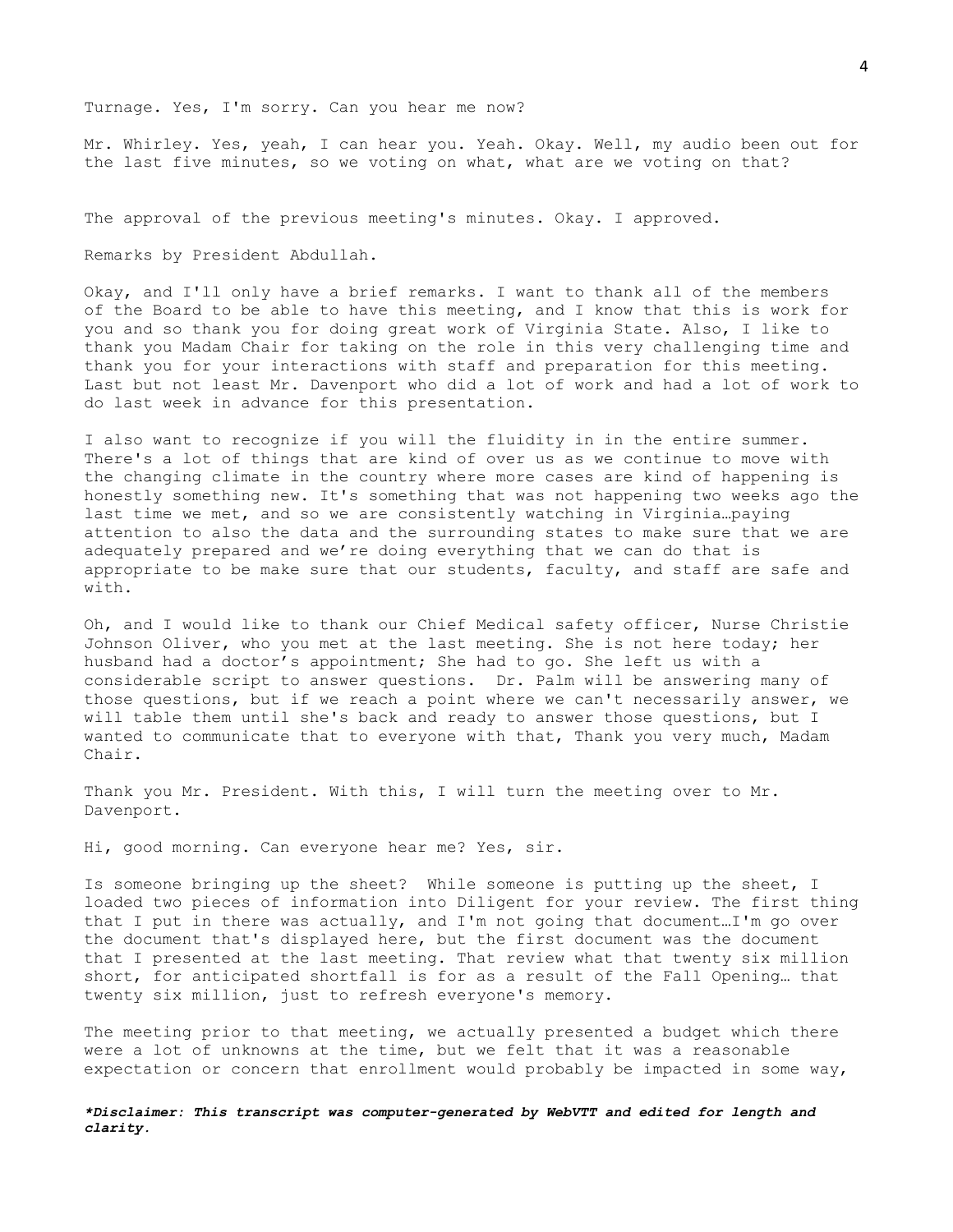Turnage. Yes, I'm sorry. Can you hear me now?

Mr. Whirley. Yes, yeah, I can hear you. Yeah. Okay. Well, my audio been out for the last five minutes, so we voting on what, what are we voting on that?

The approval of the previous meeting's minutes. Okay. I approved.

Remarks by President Abdullah.

Okay, and I'll only have a brief remarks. I want to thank all of the members of the Board to be able to have this meeting, and I know that this is work for you and so thank you for doing great work of Virginia State. Also, I like to thank you Madam Chair for taking on the role in this very challenging time and thank you for your interactions with staff and preparation for this meeting. Last but not least Mr. Davenport who did a lot of work and had a lot of work to do last week in advance for this presentation.

I also want to recognize if you will the fluidity in in the entire summer. There's a lot of things that are kind of over us as we continue to move with the changing climate in the country where more cases are kind of happening is honestly something new. It's something that was not happening two weeks ago the last time we met, and so we are consistently watching in Virginia…paying attention to also the data and the surrounding states to make sure that we are adequately prepared and we're doing everything that we can do that is appropriate to be make sure that our students, faculty, and staff are safe and with.

Oh, and I would like to thank our Chief Medical safety officer, Nurse Christie Johnson Oliver, who you met at the last meeting. She is not here today; her husband had a doctor's appointment; She had to go. She left us with a considerable script to answer questions. Dr. Palm will be answering many of those questions, but if we reach a point where we can't necessarily answer, we will table them until she's back and ready to answer those questions, but I wanted to communicate that to everyone with that, Thank you very much, Madam Chair.

Thank you Mr. President. With this, I will turn the meeting over to Mr. Davenport.

Hi, good morning. Can everyone hear me? Yes, sir.

Is someone bringing up the sheet? While someone is putting up the sheet, I loaded two pieces of information into Diligent for your review. The first thing that I put in there was actually, and I'm not going that document…I'm go over the document that's displayed here, but the first document was the document that I presented at the last meeting. That review what that twenty six million short, for anticipated shortfall is for as a result of the Fall Opening… that twenty six million, just to refresh everyone's memory.

The meeting prior to that meeting, we actually presented a budget which there were a lot of unknowns at the time, but we felt that it was a reasonable expectation or concern that enrollment would probably be impacted in some way,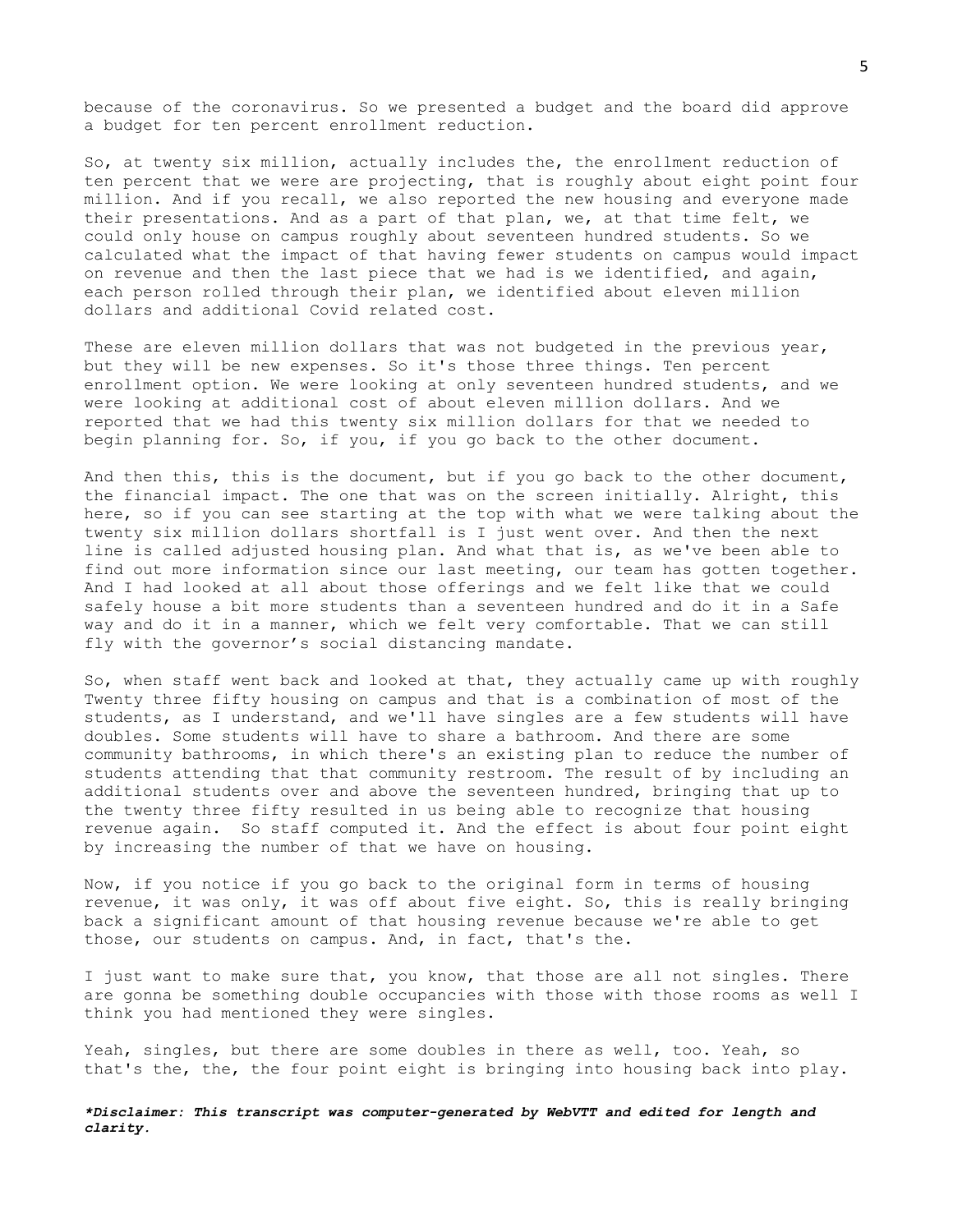because of the coronavirus. So we presented a budget and the board did approve a budget for ten percent enrollment reduction.

So, at twenty six million, actually includes the, the enrollment reduction of ten percent that we were are projecting, that is roughly about eight point four million. And if you recall, we also reported the new housing and everyone made their presentations. And as a part of that plan, we, at that time felt, we could only house on campus roughly about seventeen hundred students. So we calculated what the impact of that having fewer students on campus would impact on revenue and then the last piece that we had is we identified, and again, each person rolled through their plan, we identified about eleven million dollars and additional Covid related cost.

These are eleven million dollars that was not budgeted in the previous year, but they will be new expenses. So it's those three things. Ten percent enrollment option. We were looking at only seventeen hundred students, and we were looking at additional cost of about eleven million dollars. And we reported that we had this twenty six million dollars for that we needed to begin planning for. So, if you, if you go back to the other document.

And then this, this is the document, but if you go back to the other document, the financial impact. The one that was on the screen initially. Alright, this here, so if you can see starting at the top with what we were talking about the twenty six million dollars shortfall is I just went over. And then the next line is called adjusted housing plan. And what that is, as we've been able to find out more information since our last meeting, our team has gotten together. And I had looked at all about those offerings and we felt like that we could safely house a bit more students than a seventeen hundred and do it in a Safe way and do it in a manner, which we felt very comfortable. That we can still fly with the governor's social distancing mandate.

So, when staff went back and looked at that, they actually came up with roughly Twenty three fifty housing on campus and that is a combination of most of the students, as I understand, and we'll have singles are a few students will have doubles. Some students will have to share a bathroom. And there are some community bathrooms, in which there's an existing plan to reduce the number of students attending that that community restroom. The result of by including an additional students over and above the seventeen hundred, bringing that up to the twenty three fifty resulted in us being able to recognize that housing revenue again. So staff computed it. And the effect is about four point eight by increasing the number of that we have on housing.

Now, if you notice if you go back to the original form in terms of housing revenue, it was only, it was off about five eight. So, this is really bringing back a significant amount of that housing revenue because we're able to get those, our students on campus. And, in fact, that's the.

I just want to make sure that, you know, that those are all not singles. There are gonna be something double occupancies with those with those rooms as well I think you had mentioned they were singles.

Yeah, singles, but there are some doubles in there as well, too. Yeah, so that's the, the, the four point eight is bringing into housing back into play.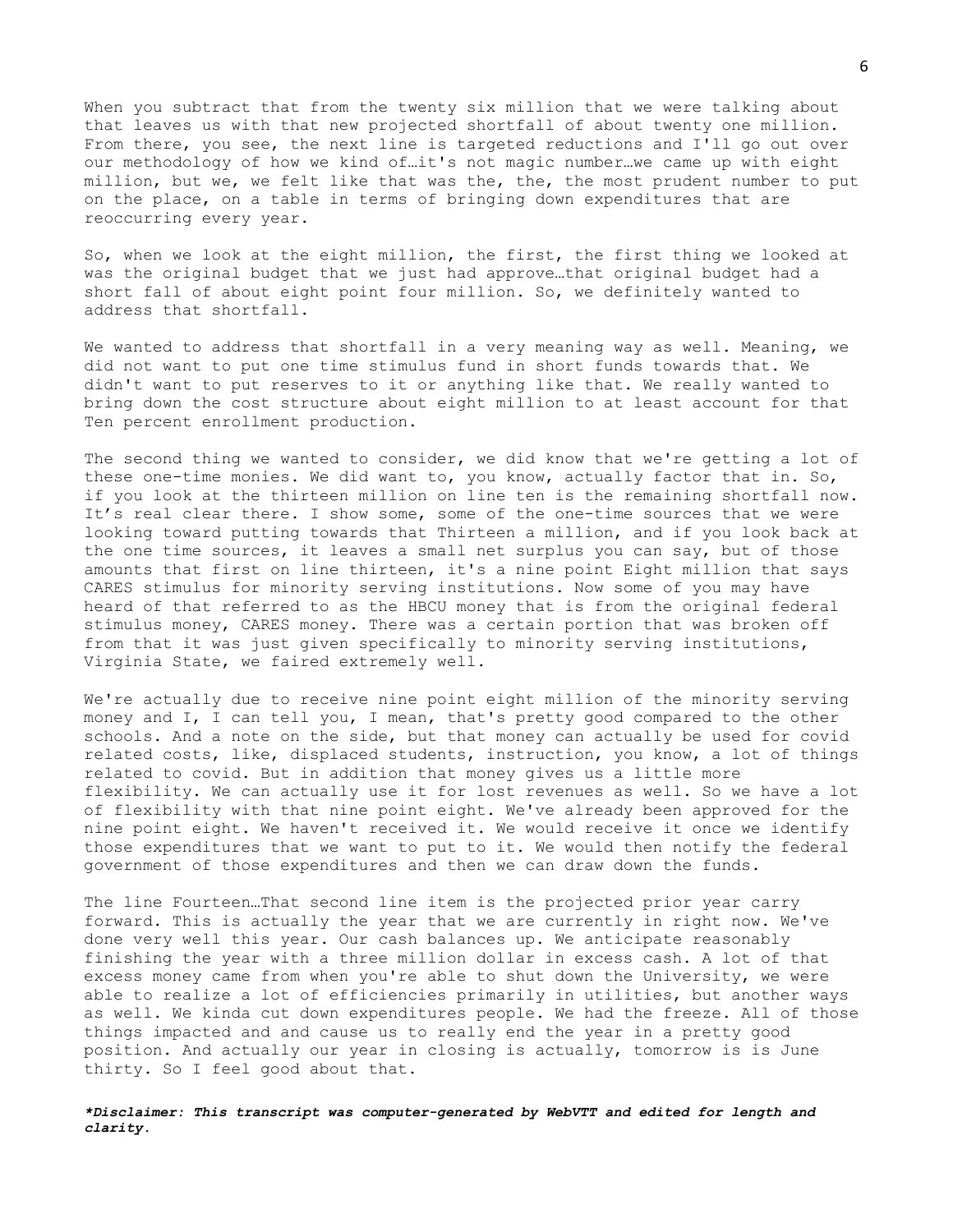When you subtract that from the twenty six million that we were talking about that leaves us with that new projected shortfall of about twenty one million. From there, you see, the next line is targeted reductions and I'll go out over our methodology of how we kind of…it's not magic number…we came up with eight million, but we, we felt like that was the, the, the most prudent number to put on the place, on a table in terms of bringing down expenditures that are reoccurring every year.

So, when we look at the eight million, the first, the first thing we looked at was the original budget that we just had approve…that original budget had a short fall of about eight point four million. So, we definitely wanted to address that shortfall.

We wanted to address that shortfall in a very meaning way as well. Meaning, we did not want to put one time stimulus fund in short funds towards that. We didn't want to put reserves to it or anything like that. We really wanted to bring down the cost structure about eight million to at least account for that Ten percent enrollment production.

The second thing we wanted to consider, we did know that we're getting a lot of these one-time monies. We did want to, you know, actually factor that in. So, if you look at the thirteen million on line ten is the remaining shortfall now. It's real clear there. I show some, some of the one-time sources that we were looking toward putting towards that Thirteen a million, and if you look back at the one time sources, it leaves a small net surplus you can say, but of those amounts that first on line thirteen, it's a nine point Eight million that says CARES stimulus for minority serving institutions. Now some of you may have heard of that referred to as the HBCU money that is from the original federal stimulus money, CARES money. There was a certain portion that was broken off from that it was just given specifically to minority serving institutions, Virginia State, we faired extremely well.

We're actually due to receive nine point eight million of the minority serving money and I, I can tell you, I mean, that's pretty good compared to the other schools. And a note on the side, but that money can actually be used for covid related costs, like, displaced students, instruction, you know, a lot of things related to covid. But in addition that money gives us a little more flexibility. We can actually use it for lost revenues as well. So we have a lot of flexibility with that nine point eight. We've already been approved for the nine point eight. We haven't received it. We would receive it once we identify those expenditures that we want to put to it. We would then notify the federal government of those expenditures and then we can draw down the funds.

The line Fourteen…That second line item is the projected prior year carry forward. This is actually the year that we are currently in right now. We've done very well this year. Our cash balances up. We anticipate reasonably finishing the year with a three million dollar in excess cash. A lot of that excess money came from when you're able to shut down the University, we were able to realize a lot of efficiencies primarily in utilities, but another ways as well. We kinda cut down expenditures people. We had the freeze. All of those things impacted and and cause us to really end the year in a pretty good position. And actually our year in closing is actually, tomorrow is is June thirty. So I feel good about that.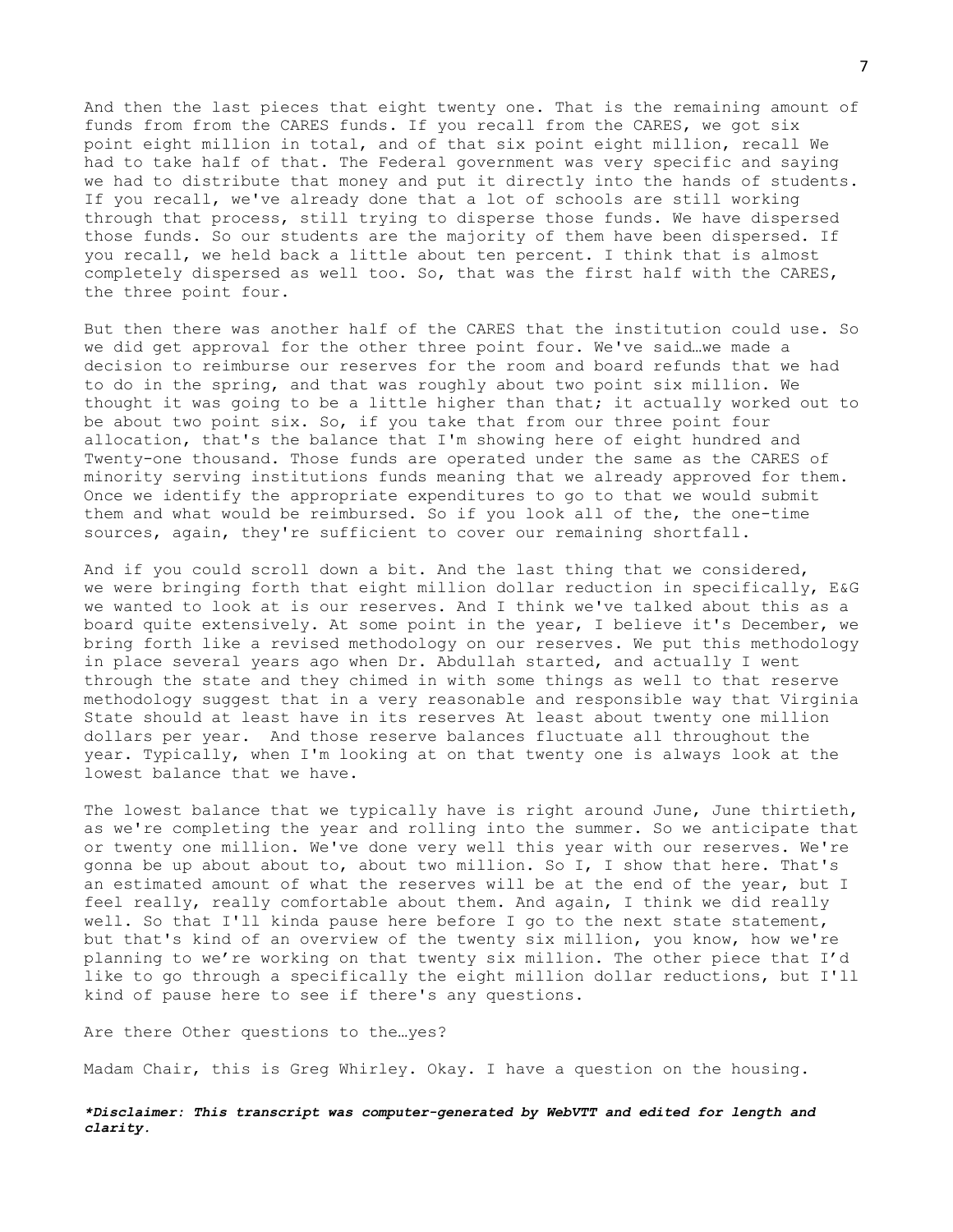And then the last pieces that eight twenty one. That is the remaining amount of funds from from the CARES funds. If you recall from the CARES, we got six point eight million in total, and of that six point eight million, recall We had to take half of that. The Federal government was very specific and saying we had to distribute that money and put it directly into the hands of students. If you recall, we've already done that a lot of schools are still working through that process, still trying to disperse those funds. We have dispersed those funds. So our students are the majority of them have been dispersed. If you recall, we held back a little about ten percent. I think that is almost completely dispersed as well too. So, that was the first half with the CARES, the three point four.

But then there was another half of the CARES that the institution could use. So we did get approval for the other three point four. We've said…we made a decision to reimburse our reserves for the room and board refunds that we had to do in the spring, and that was roughly about two point six million. We thought it was going to be a little higher than that; it actually worked out to be about two point six. So, if you take that from our three point four allocation, that's the balance that I'm showing here of eight hundred and Twenty-one thousand. Those funds are operated under the same as the CARES of minority serving institutions funds meaning that we already approved for them. Once we identify the appropriate expenditures to go to that we would submit them and what would be reimbursed. So if you look all of the, the one-time sources, again, they're sufficient to cover our remaining shortfall.

And if you could scroll down a bit. And the last thing that we considered, we were bringing forth that eight million dollar reduction in specifically, E&G we wanted to look at is our reserves. And I think we've talked about this as a board quite extensively. At some point in the year, I believe it's December, we bring forth like a revised methodology on our reserves. We put this methodology in place several years ago when Dr. Abdullah started, and actually I went through the state and they chimed in with some things as well to that reserve methodology suggest that in a very reasonable and responsible way that Virginia State should at least have in its reserves At least about twenty one million dollars per year. And those reserve balances fluctuate all throughout the year. Typically, when I'm looking at on that twenty one is always look at the lowest balance that we have.

The lowest balance that we typically have is right around June, June thirtieth, as we're completing the year and rolling into the summer. So we anticipate that or twenty one million. We've done very well this year with our reserves. We're gonna be up about about to, about two million. So I, I show that here. That's an estimated amount of what the reserves will be at the end of the year, but I feel really, really comfortable about them. And again, I think we did really well. So that I'll kinda pause here before I go to the next state statement, but that's kind of an overview of the twenty six million, you know, how we're planning to we're working on that twenty six million. The other piece that I'd like to go through a specifically the eight million dollar reductions, but I'll kind of pause here to see if there's any questions.

Are there Other questions to the…yes?

Madam Chair, this is Greg Whirley. Okay. I have a question on the housing.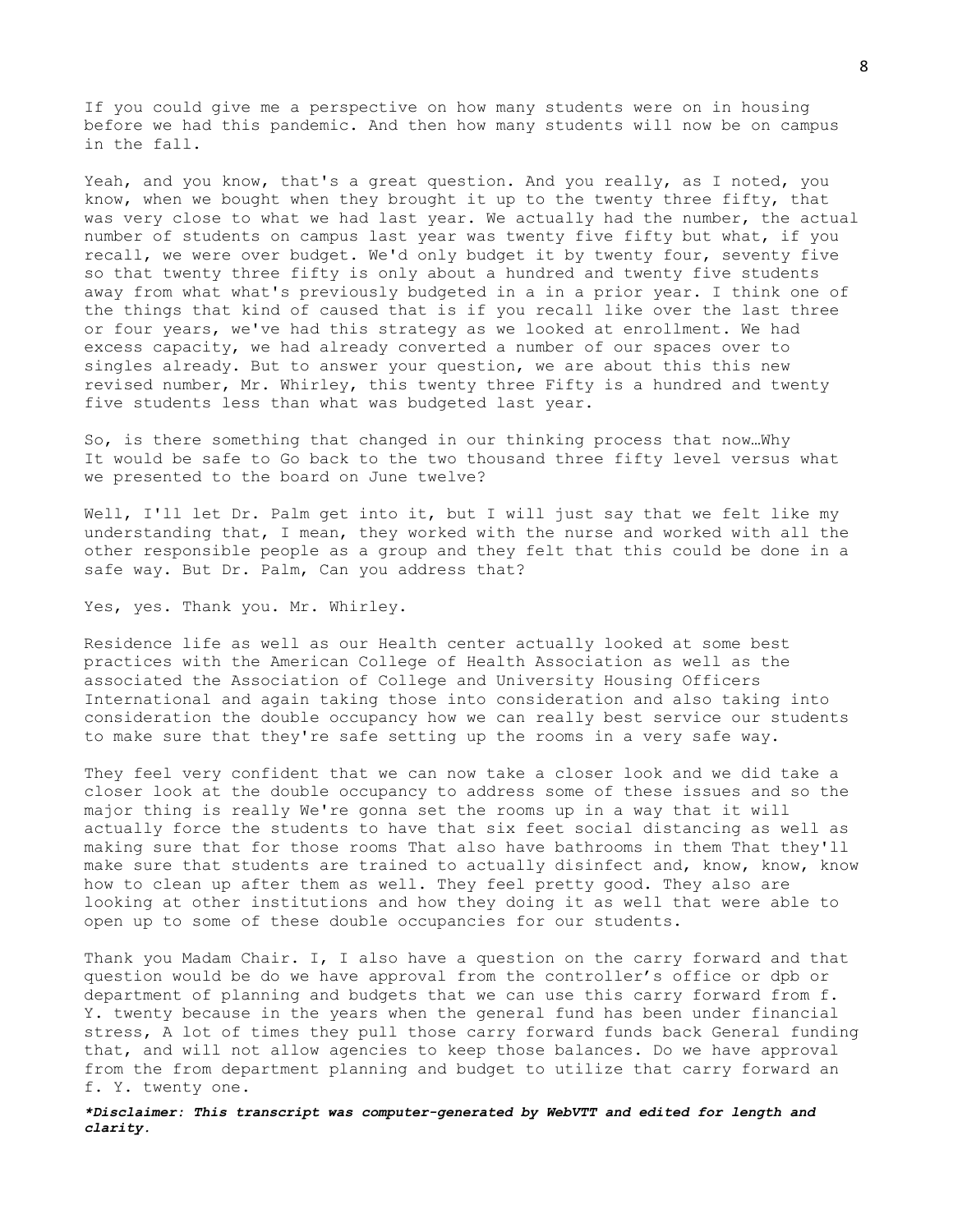If you could give me a perspective on how many students were on in housing before we had this pandemic. And then how many students will now be on campus in the fall.

Yeah, and you know, that's a great question. And you really, as I noted, you know, when we bought when they brought it up to the twenty three fifty, that was very close to what we had last year. We actually had the number, the actual number of students on campus last year was twenty five fifty but what, if you recall, we were over budget. We'd only budget it by twenty four, seventy five so that twenty three fifty is only about a hundred and twenty five students away from what what's previously budgeted in a in a prior year. I think one of the things that kind of caused that is if you recall like over the last three or four years, we've had this strategy as we looked at enrollment. We had excess capacity, we had already converted a number of our spaces over to singles already. But to answer your question, we are about this this new revised number, Mr. Whirley, this twenty three Fifty is a hundred and twenty five students less than what was budgeted last year.

So, is there something that changed in our thinking process that now…Why It would be safe to Go back to the two thousand three fifty level versus what we presented to the board on June twelve?

Well, I'll let Dr. Palm get into it, but I will just say that we felt like my understanding that, I mean, they worked with the nurse and worked with all the other responsible people as a group and they felt that this could be done in a safe way. But Dr. Palm, Can you address that?

Yes, yes. Thank you. Mr. Whirley.

Residence life as well as our Health center actually looked at some best practices with the American College of Health Association as well as the associated the Association of College and University Housing Officers International and again taking those into consideration and also taking into consideration the double occupancy how we can really best service our students to make sure that they're safe setting up the rooms in a very safe way.

They feel very confident that we can now take a closer look and we did take a closer look at the double occupancy to address some of these issues and so the major thing is really We're gonna set the rooms up in a way that it will actually force the students to have that six feet social distancing as well as making sure that for those rooms That also have bathrooms in them That they'll make sure that students are trained to actually disinfect and, know, know, know how to clean up after them as well. They feel pretty good. They also are looking at other institutions and how they doing it as well that were able to open up to some of these double occupancies for our students.

Thank you Madam Chair. I, I also have a question on the carry forward and that question would be do we have approval from the controller's office or dpb or department of planning and budgets that we can use this carry forward from f. Y. twenty because in the years when the general fund has been under financial stress, A lot of times they pull those carry forward funds back General funding that, and will not allow agencies to keep those balances. Do we have approval from the from department planning and budget to utilize that carry forward an f. Y. twenty one.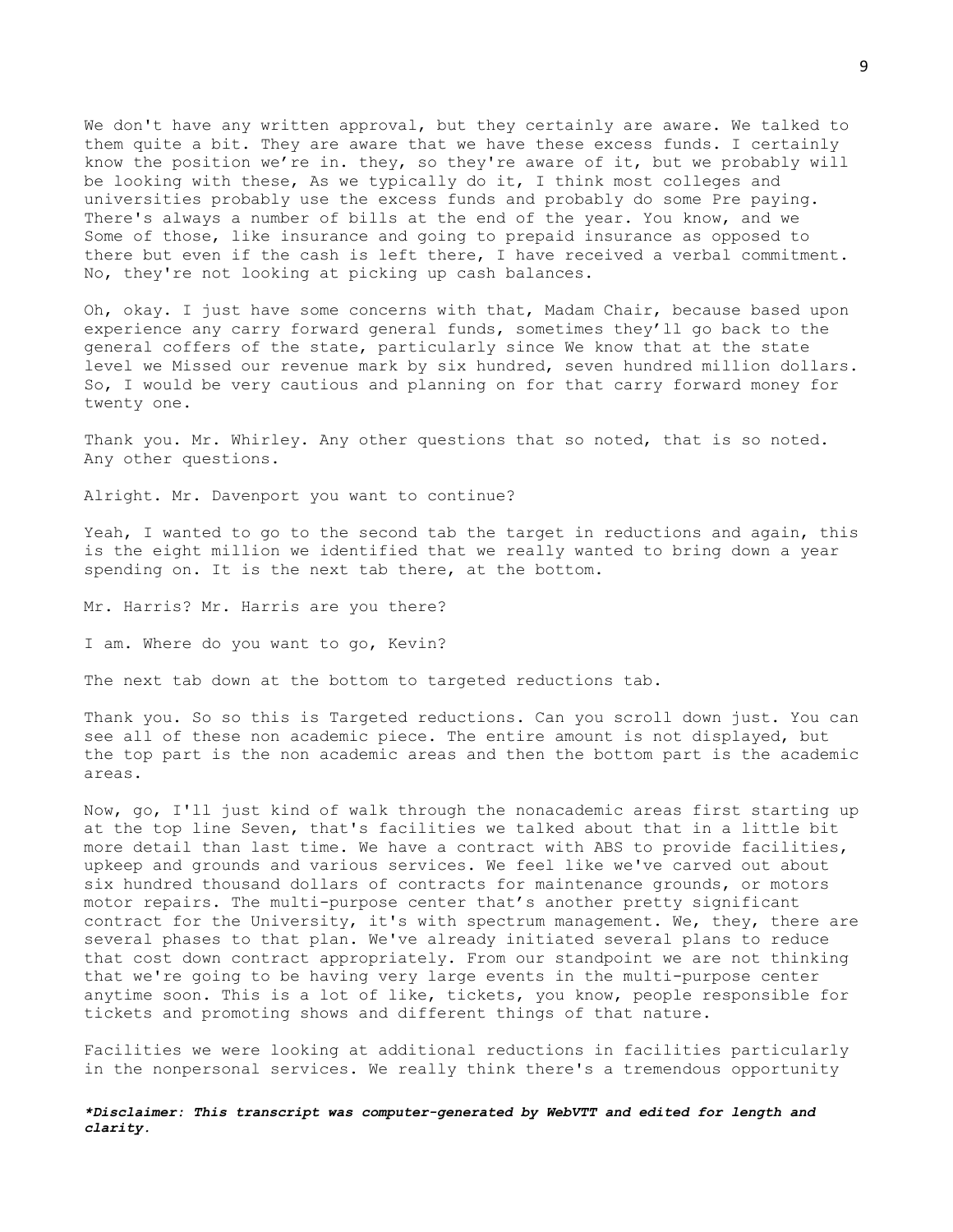We don't have any written approval, but they certainly are aware. We talked to them quite a bit. They are aware that we have these excess funds. I certainly know the position we're in. they, so they're aware of it, but we probably will be looking with these, As we typically do it, I think most colleges and universities probably use the excess funds and probably do some Pre paying. There's always a number of bills at the end of the year. You know, and we Some of those, like insurance and going to prepaid insurance as opposed to there but even if the cash is left there, I have received a verbal commitment. No, they're not looking at picking up cash balances.

Oh, okay. I just have some concerns with that, Madam Chair, because based upon experience any carry forward general funds, sometimes they'll go back to the general coffers of the state, particularly since We know that at the state level we Missed our revenue mark by six hundred, seven hundred million dollars. So, I would be very cautious and planning on for that carry forward money for twenty one.

Thank you. Mr. Whirley. Any other questions that so noted, that is so noted. Any other questions.

Alright. Mr. Davenport you want to continue?

Yeah, I wanted to go to the second tab the target in reductions and again, this is the eight million we identified that we really wanted to bring down a year spending on. It is the next tab there, at the bottom.

Mr. Harris? Mr. Harris are you there?

I am. Where do you want to go, Kevin?

The next tab down at the bottom to targeted reductions tab.

Thank you. So so this is Targeted reductions. Can you scroll down just. You can see all of these non academic piece. The entire amount is not displayed, but the top part is the non academic areas and then the bottom part is the academic areas.

Now, go, I'll just kind of walk through the nonacademic areas first starting up at the top line Seven, that's facilities we talked about that in a little bit more detail than last time. We have a contract with ABS to provide facilities, upkeep and grounds and various services. We feel like we've carved out about six hundred thousand dollars of contracts for maintenance grounds, or motors motor repairs. The multi-purpose center that's another pretty significant contract for the University, it's with spectrum management. We, they, there are several phases to that plan. We've already initiated several plans to reduce that cost down contract appropriately. From our standpoint we are not thinking that we're going to be having very large events in the multi-purpose center anytime soon. This is a lot of like, tickets, you know, people responsible for tickets and promoting shows and different things of that nature.

Facilities we were looking at additional reductions in facilities particularly in the nonpersonal services. We really think there's a tremendous opportunity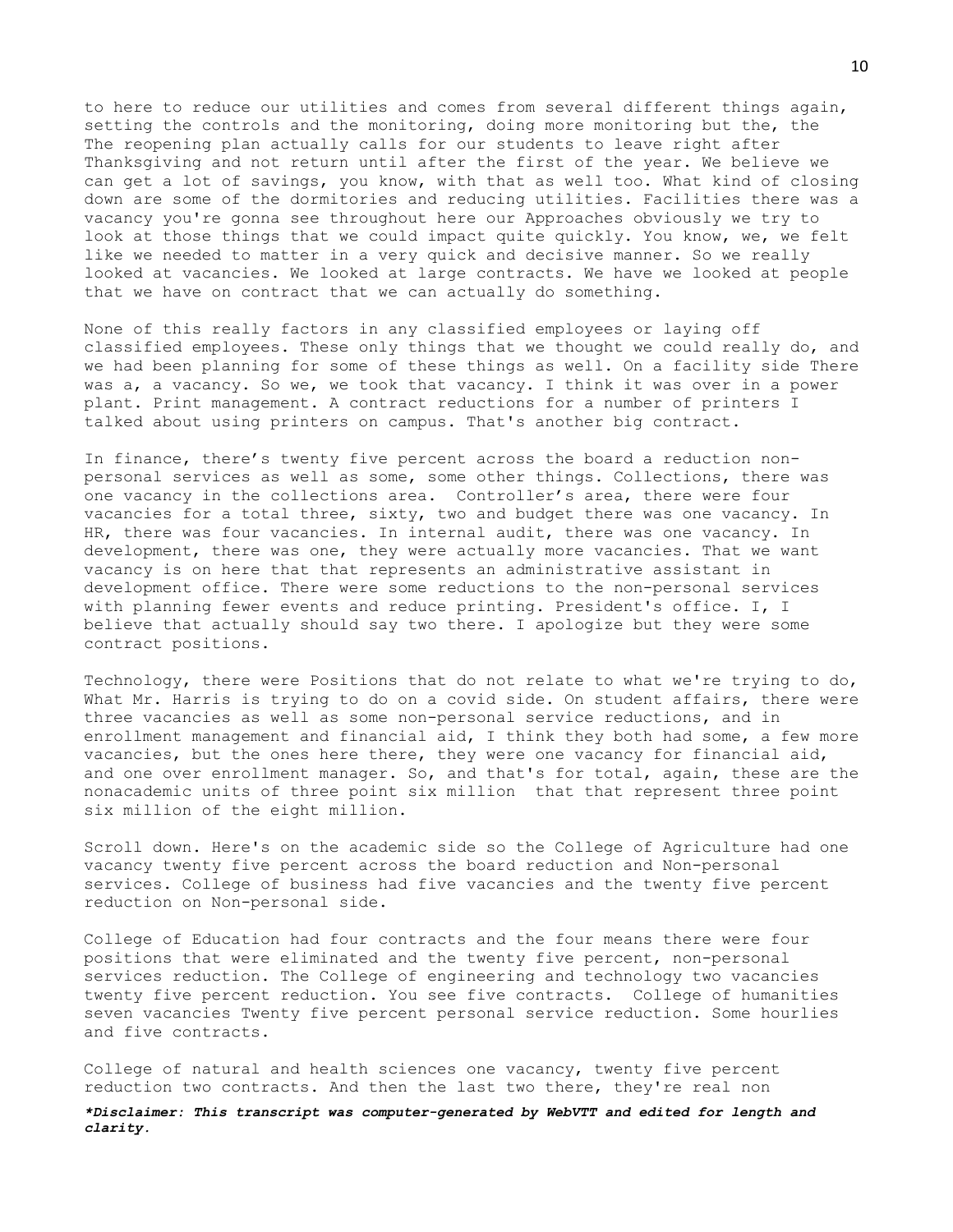to here to reduce our utilities and comes from several different things again, setting the controls and the monitoring, doing more monitoring but the, the The reopening plan actually calls for our students to leave right after Thanksgiving and not return until after the first of the year. We believe we can get a lot of savings, you know, with that as well too. What kind of closing down are some of the dormitories and reducing utilities. Facilities there was a vacancy you're gonna see throughout here our Approaches obviously we try to look at those things that we could impact quite quickly. You know, we, we felt like we needed to matter in a very quick and decisive manner. So we really looked at vacancies. We looked at large contracts. We have we looked at people that we have on contract that we can actually do something.

None of this really factors in any classified employees or laying off classified employees. These only things that we thought we could really do, and we had been planning for some of these things as well. On a facility side There was a, a vacancy. So we, we took that vacancy. I think it was over in a power plant. Print management. A contract reductions for a number of printers I talked about using printers on campus. That's another big contract.

In finance, there's twenty five percent across the board a reduction nonpersonal services as well as some, some other things. Collections, there was one vacancy in the collections area. Controller's area, there were four vacancies for a total three, sixty, two and budget there was one vacancy. In HR, there was four vacancies. In internal audit, there was one vacancy. In development, there was one, they were actually more vacancies. That we want vacancy is on here that that represents an administrative assistant in development office. There were some reductions to the non-personal services with planning fewer events and reduce printing. President's office. I, I believe that actually should say two there. I apologize but they were some contract positions.

Technology, there were Positions that do not relate to what we're trying to do, What Mr. Harris is trying to do on a covid side. On student affairs, there were three vacancies as well as some non-personal service reductions, and in enrollment management and financial aid, I think they both had some, a few more vacancies, but the ones here there, they were one vacancy for financial aid, and one over enrollment manager. So, and that's for total, again, these are the nonacademic units of three point six million that that represent three point six million of the eight million.

Scroll down. Here's on the academic side so the College of Agriculture had one vacancy twenty five percent across the board reduction and Non-personal services. College of business had five vacancies and the twenty five percent reduction on Non-personal side.

College of Education had four contracts and the four means there were four positions that were eliminated and the twenty five percent, non-personal services reduction. The College of engineering and technology two vacancies twenty five percent reduction. You see five contracts. College of humanities seven vacancies Twenty five percent personal service reduction. Some hourlies and five contracts.

College of natural and health sciences one vacancy, twenty five percent reduction two contracts. And then the last two there, they're real non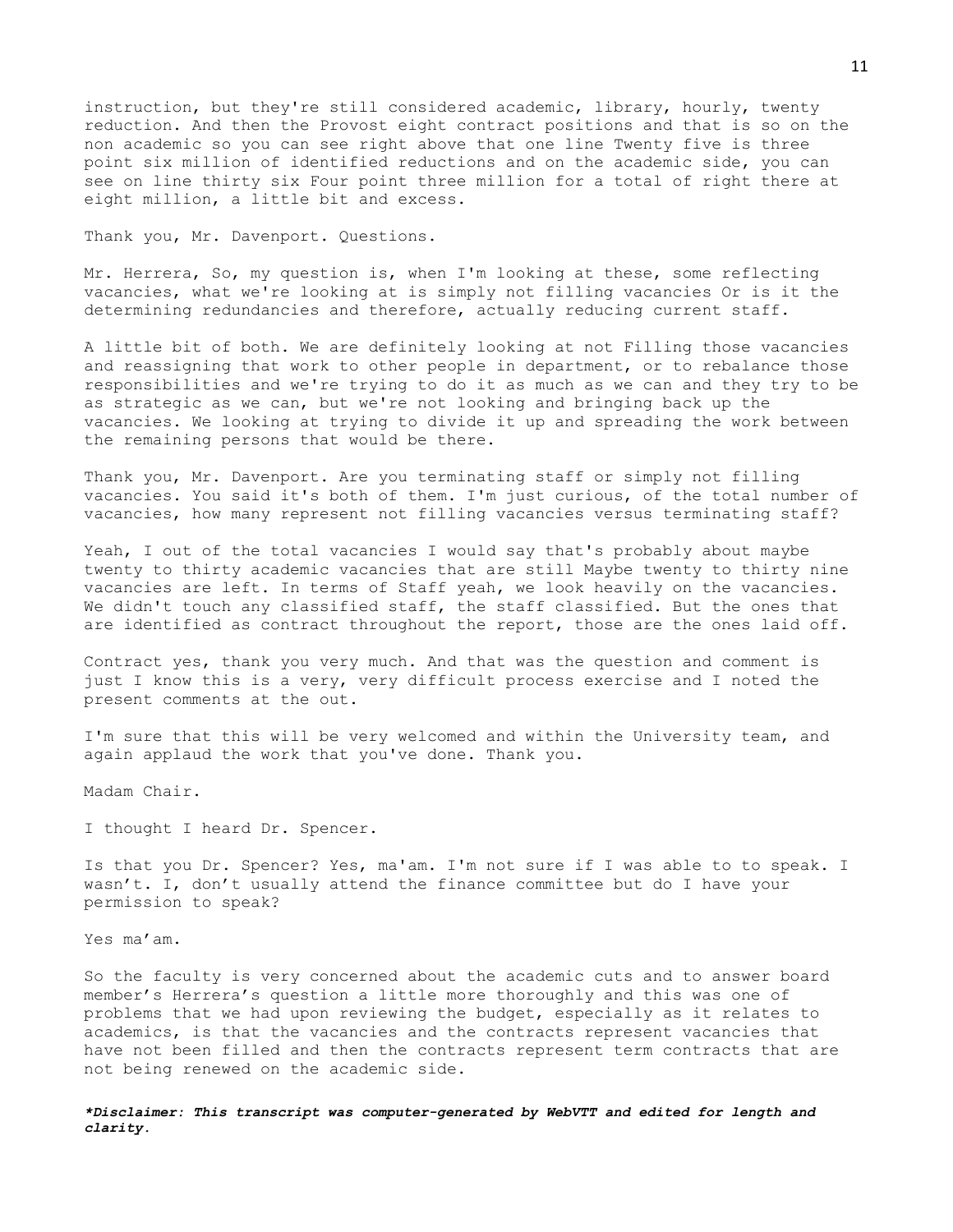instruction, but they're still considered academic, library, hourly, twenty reduction. And then the Provost eight contract positions and that is so on the non academic so you can see right above that one line Twenty five is three point six million of identified reductions and on the academic side, you can see on line thirty six Four point three million for a total of right there at eight million, a little bit and excess.

Thank you, Mr. Davenport. Questions.

Mr. Herrera, So, my question is, when I'm looking at these, some reflecting vacancies, what we're looking at is simply not filling vacancies Or is it the determining redundancies and therefore, actually reducing current staff.

A little bit of both. We are definitely looking at not Filling those vacancies and reassigning that work to other people in department, or to rebalance those responsibilities and we're trying to do it as much as we can and they try to be as strategic as we can, but we're not looking and bringing back up the vacancies. We looking at trying to divide it up and spreading the work between the remaining persons that would be there.

Thank you, Mr. Davenport. Are you terminating staff or simply not filling vacancies. You said it's both of them. I'm just curious, of the total number of vacancies, how many represent not filling vacancies versus terminating staff?

Yeah, I out of the total vacancies I would say that's probably about maybe twenty to thirty academic vacancies that are still Maybe twenty to thirty nine vacancies are left. In terms of Staff yeah, we look heavily on the vacancies. We didn't touch any classified staff, the staff classified. But the ones that are identified as contract throughout the report, those are the ones laid off.

Contract yes, thank you very much. And that was the question and comment is just I know this is a very, very difficult process exercise and I noted the present comments at the out.

I'm sure that this will be very welcomed and within the University team, and again applaud the work that you've done. Thank you.

Madam Chair.

I thought I heard Dr. Spencer.

Is that you Dr. Spencer? Yes, ma'am. I'm not sure if I was able to to speak. I wasn't. I, don't usually attend the finance committee but do I have your permission to speak?

Yes ma'am.

So the faculty is very concerned about the academic cuts and to answer board member's Herrera's question a little more thoroughly and this was one of problems that we had upon reviewing the budget, especially as it relates to academics, is that the vacancies and the contracts represent vacancies that have not been filled and then the contracts represent term contracts that are not being renewed on the academic side.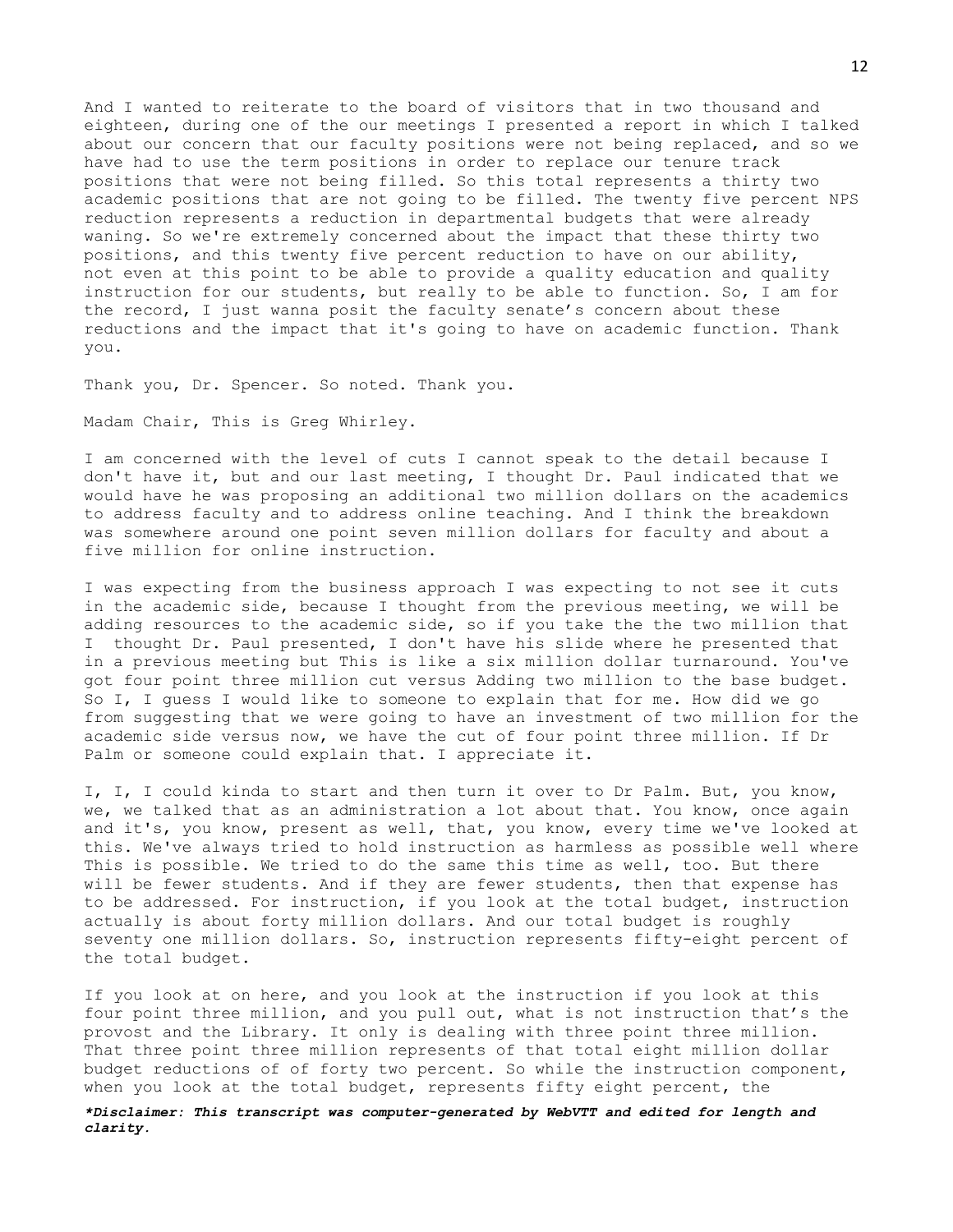And I wanted to reiterate to the board of visitors that in two thousand and eighteen, during one of the our meetings I presented a report in which I talked about our concern that our faculty positions were not being replaced, and so we have had to use the term positions in order to replace our tenure track positions that were not being filled. So this total represents a thirty two academic positions that are not going to be filled. The twenty five percent NPS reduction represents a reduction in departmental budgets that were already waning. So we're extremely concerned about the impact that these thirty two positions, and this twenty five percent reduction to have on our ability, not even at this point to be able to provide a quality education and quality instruction for our students, but really to be able to function. So, I am for the record, I just wanna posit the faculty senate's concern about these reductions and the impact that it's going to have on academic function. Thank you.

Thank you, Dr. Spencer. So noted. Thank you.

Madam Chair, This is Greg Whirley.

I am concerned with the level of cuts I cannot speak to the detail because I don't have it, but and our last meeting, I thought Dr. Paul indicated that we would have he was proposing an additional two million dollars on the academics to address faculty and to address online teaching. And I think the breakdown was somewhere around one point seven million dollars for faculty and about a five million for online instruction.

I was expecting from the business approach I was expecting to not see it cuts in the academic side, because I thought from the previous meeting, we will be adding resources to the academic side, so if you take the the two million that I thought Dr. Paul presented, I don't have his slide where he presented that in a previous meeting but This is like a six million dollar turnaround. You've got four point three million cut versus Adding two million to the base budget. So I, I guess I would like to someone to explain that for me. How did we go from suggesting that we were going to have an investment of two million for the academic side versus now, we have the cut of four point three million. If Dr Palm or someone could explain that. I appreciate it.

I, I, I could kinda to start and then turn it over to Dr Palm. But, you know, we, we talked that as an administration a lot about that. You know, once again and it's, you know, present as well, that, you know, every time we've looked at this. We've always tried to hold instruction as harmless as possible well where This is possible. We tried to do the same this time as well, too. But there will be fewer students. And if they are fewer students, then that expense has to be addressed. For instruction, if you look at the total budget, instruction actually is about forty million dollars. And our total budget is roughly seventy one million dollars. So, instruction represents fifty-eight percent of the total budget.

If you look at on here, and you look at the instruction if you look at this four point three million, and you pull out, what is not instruction that's the provost and the Library. It only is dealing with three point three million. That three point three million represents of that total eight million dollar budget reductions of of forty two percent. So while the instruction component, when you look at the total budget, represents fifty eight percent, the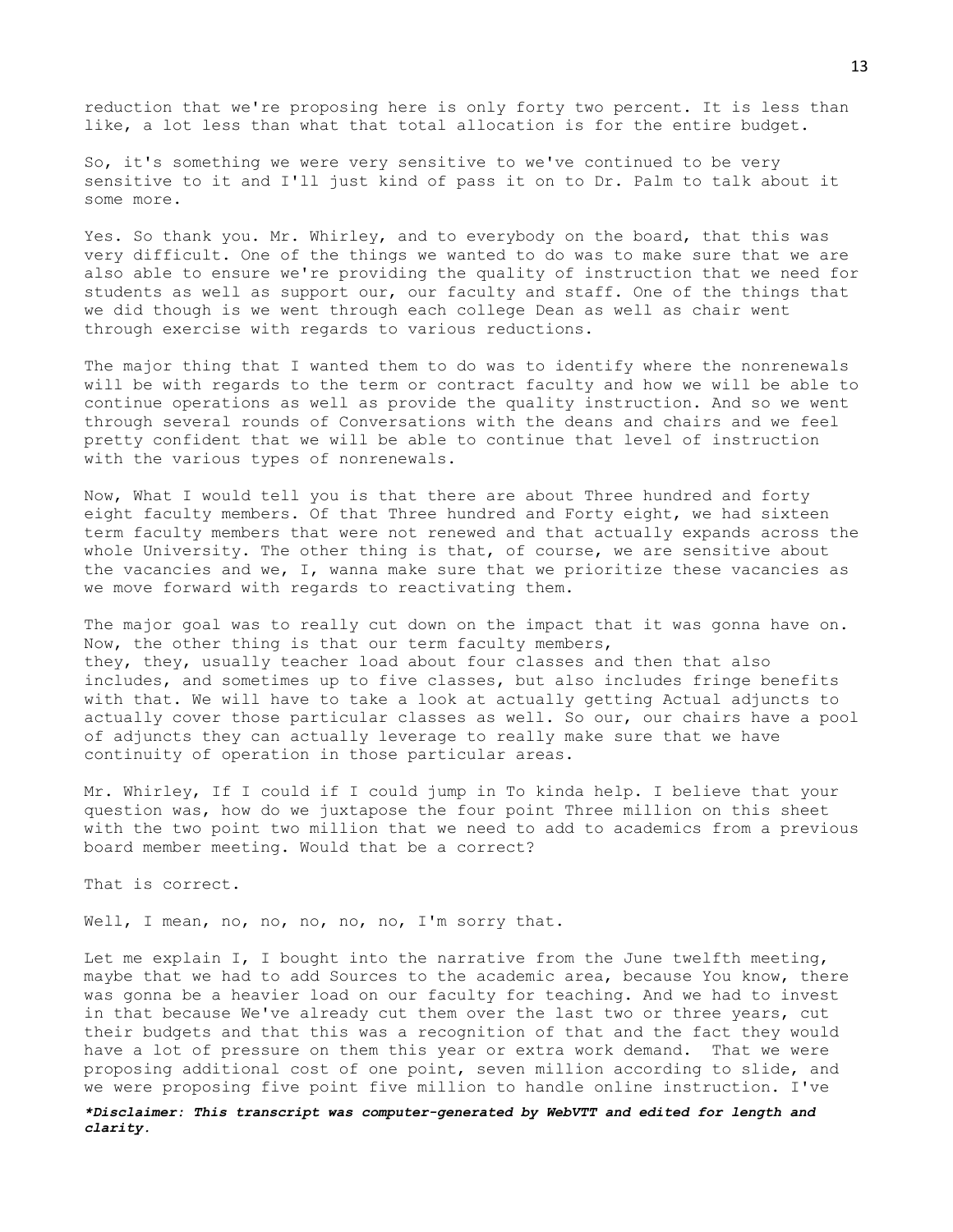reduction that we're proposing here is only forty two percent. It is less than like, a lot less than what that total allocation is for the entire budget.

So, it's something we were very sensitive to we've continued to be very sensitive to it and I'll just kind of pass it on to Dr. Palm to talk about it some more.

Yes. So thank you. Mr. Whirley, and to everybody on the board, that this was very difficult. One of the things we wanted to do was to make sure that we are also able to ensure we're providing the quality of instruction that we need for students as well as support our, our faculty and staff. One of the things that we did though is we went through each college Dean as well as chair went through exercise with regards to various reductions.

The major thing that I wanted them to do was to identify where the nonrenewals will be with regards to the term or contract faculty and how we will be able to continue operations as well as provide the quality instruction. And so we went through several rounds of Conversations with the deans and chairs and we feel pretty confident that we will be able to continue that level of instruction with the various types of nonrenewals.

Now, What I would tell you is that there are about Three hundred and forty eight faculty members. Of that Three hundred and Forty eight, we had sixteen term faculty members that were not renewed and that actually expands across the whole University. The other thing is that, of course, we are sensitive about the vacancies and we, I, wanna make sure that we prioritize these vacancies as we move forward with regards to reactivating them.

The major goal was to really cut down on the impact that it was gonna have on. Now, the other thing is that our term faculty members, they, they, usually teacher load about four classes and then that also includes, and sometimes up to five classes, but also includes fringe benefits with that. We will have to take a look at actually getting Actual adjuncts to actually cover those particular classes as well. So our, our chairs have a pool of adjuncts they can actually leverage to really make sure that we have continuity of operation in those particular areas.

Mr. Whirley, If I could if I could jump in To kinda help. I believe that your question was, how do we juxtapose the four point Three million on this sheet with the two point two million that we need to add to academics from a previous board member meeting. Would that be a correct?

That is correct.

Well, I mean, no, no, no, no, no, I'm sorry that.

Let me explain I, I bought into the narrative from the June twelfth meeting, maybe that we had to add Sources to the academic area, because You know, there was gonna be a heavier load on our faculty for teaching. And we had to invest in that because We've already cut them over the last two or three years, cut their budgets and that this was a recognition of that and the fact they would have a lot of pressure on them this year or extra work demand. That we were proposing additional cost of one point, seven million according to slide, and we were proposing five point five million to handle online instruction. I've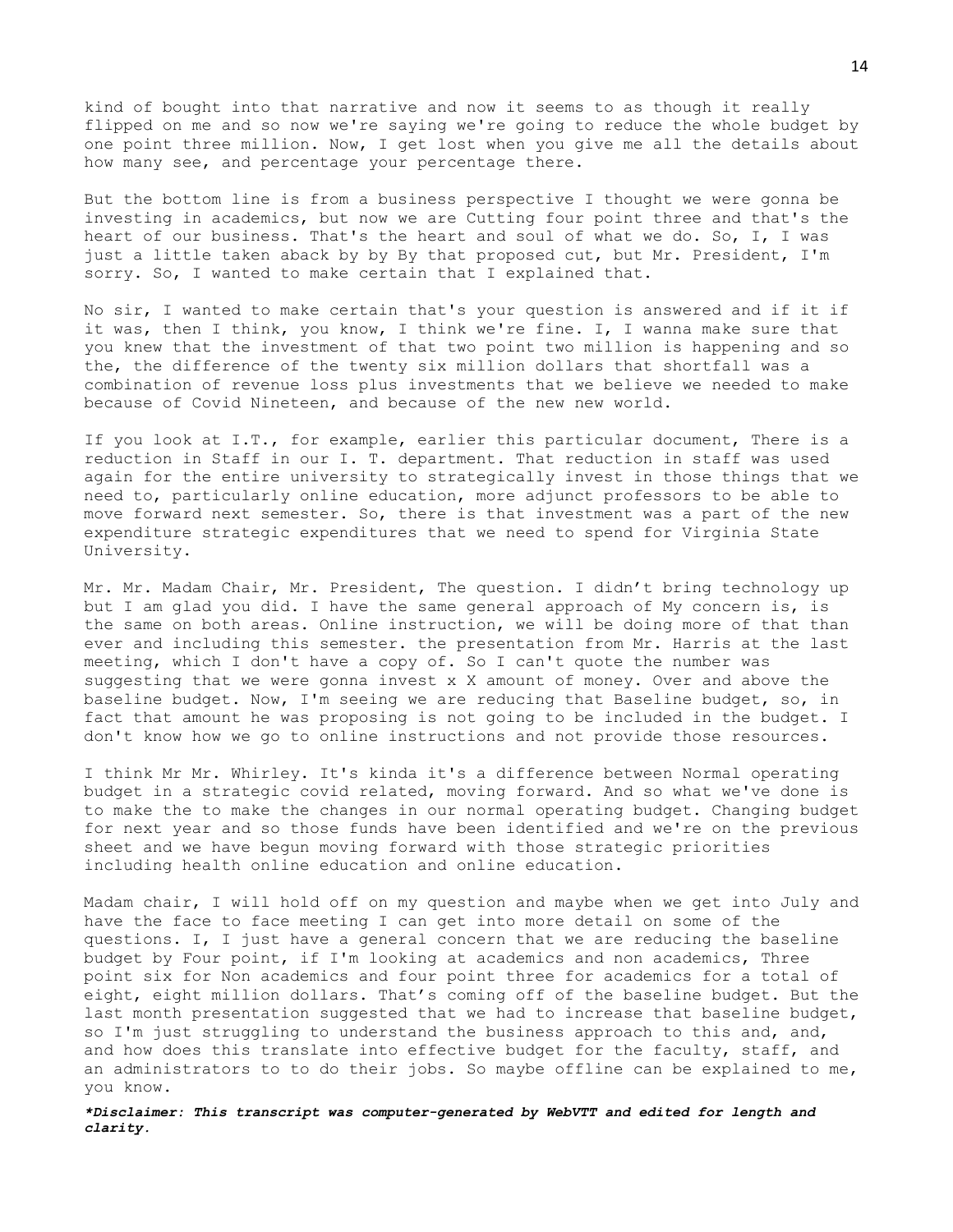kind of bought into that narrative and now it seems to as though it really flipped on me and so now we're saying we're going to reduce the whole budget by one point three million. Now, I get lost when you give me all the details about how many see, and percentage your percentage there.

But the bottom line is from a business perspective I thought we were gonna be investing in academics, but now we are Cutting four point three and that's the heart of our business. That's the heart and soul of what we do. So, I, I was just a little taken aback by by By that proposed cut, but Mr. President, I'm sorry. So, I wanted to make certain that I explained that.

No sir, I wanted to make certain that's your question is answered and if it if it was, then I think, you know, I think we're fine. I, I wanna make sure that you knew that the investment of that two point two million is happening and so the, the difference of the twenty six million dollars that shortfall was a combination of revenue loss plus investments that we believe we needed to make because of Covid Nineteen, and because of the new new world.

If you look at I.T., for example, earlier this particular document, There is a reduction in Staff in our I. T. department. That reduction in staff was used again for the entire university to strategically invest in those things that we need to, particularly online education, more adjunct professors to be able to move forward next semester. So, there is that investment was a part of the new expenditure strategic expenditures that we need to spend for Virginia State University.

Mr. Mr. Madam Chair, Mr. President, The question. I didn't bring technology up but I am glad you did. I have the same general approach of My concern is, is the same on both areas. Online instruction, we will be doing more of that than ever and including this semester. the presentation from Mr. Harris at the last meeting, which I don't have a copy of. So I can't quote the number was suggesting that we were gonna invest x X amount of money. Over and above the baseline budget. Now, I'm seeing we are reducing that Baseline budget, so, in fact that amount he was proposing is not going to be included in the budget. I don't know how we go to online instructions and not provide those resources.

I think Mr Mr. Whirley. It's kinda it's a difference between Normal operating budget in a strategic covid related, moving forward. And so what we've done is to make the to make the changes in our normal operating budget. Changing budget for next year and so those funds have been identified and we're on the previous sheet and we have begun moving forward with those strategic priorities including health online education and online education.

Madam chair, I will hold off on my question and maybe when we get into July and have the face to face meeting I can get into more detail on some of the questions. I, I just have a general concern that we are reducing the baseline budget by Four point, if I'm looking at academics and non academics, Three point six for Non academics and four point three for academics for a total of eight, eight million dollars. That's coming off of the baseline budget. But the last month presentation suggested that we had to increase that baseline budget, so I'm just struggling to understand the business approach to this and, and, and how does this translate into effective budget for the faculty, staff, and an administrators to to do their jobs. So maybe offline can be explained to me, you know.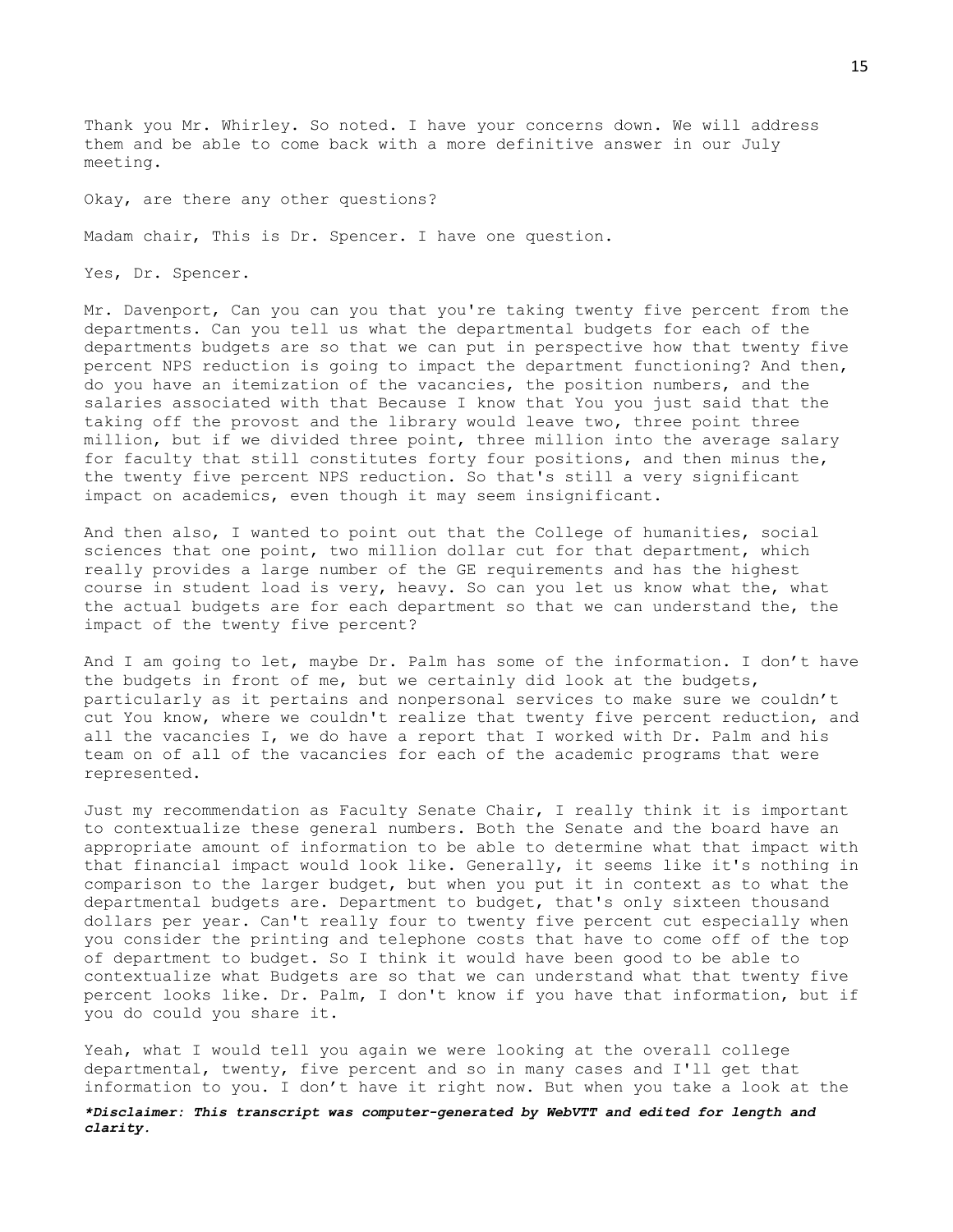Thank you Mr. Whirley. So noted. I have your concerns down. We will address them and be able to come back with a more definitive answer in our July meeting.

Okay, are there any other questions?

Madam chair, This is Dr. Spencer. I have one question.

Yes, Dr. Spencer.

Mr. Davenport, Can you can you that you're taking twenty five percent from the departments. Can you tell us what the departmental budgets for each of the departments budgets are so that we can put in perspective how that twenty five percent NPS reduction is going to impact the department functioning? And then, do you have an itemization of the vacancies, the position numbers, and the salaries associated with that Because I know that You you just said that the taking off the provost and the library would leave two, three point three million, but if we divided three point, three million into the average salary for faculty that still constitutes forty four positions, and then minus the, the twenty five percent NPS reduction. So that's still a very significant impact on academics, even though it may seem insignificant.

And then also, I wanted to point out that the College of humanities, social sciences that one point, two million dollar cut for that department, which really provides a large number of the GE requirements and has the highest course in student load is very, heavy. So can you let us know what the, what the actual budgets are for each department so that we can understand the, the impact of the twenty five percent?

And I am going to let, maybe Dr. Palm has some of the information. I don't have the budgets in front of me, but we certainly did look at the budgets, particularly as it pertains and nonpersonal services to make sure we couldn't cut You know, where we couldn't realize that twenty five percent reduction, and all the vacancies I, we do have a report that I worked with Dr. Palm and his team on of all of the vacancies for each of the academic programs that were represented.

Just my recommendation as Faculty Senate Chair, I really think it is important to contextualize these general numbers. Both the Senate and the board have an appropriate amount of information to be able to determine what that impact with that financial impact would look like. Generally, it seems like it's nothing in comparison to the larger budget, but when you put it in context as to what the departmental budgets are. Department to budget, that's only sixteen thousand dollars per year. Can't really four to twenty five percent cut especially when you consider the printing and telephone costs that have to come off of the top of department to budget. So I think it would have been good to be able to contextualize what Budgets are so that we can understand what that twenty five percent looks like. Dr. Palm, I don't know if you have that information, but if you do could you share it.

Yeah, what I would tell you again we were looking at the overall college departmental, twenty, five percent and so in many cases and I'll get that information to you. I don't have it right now. But when you take a look at the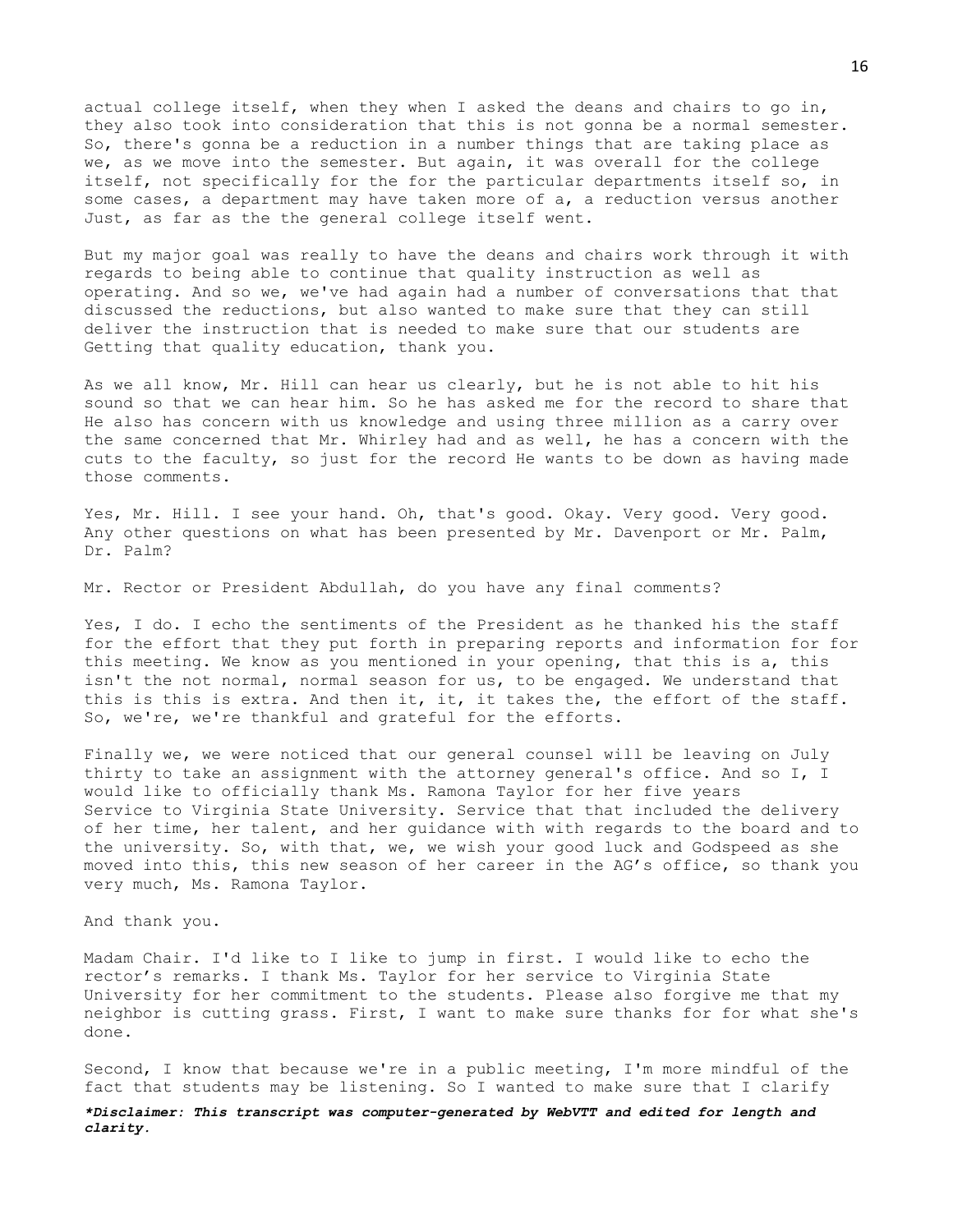actual college itself, when they when I asked the deans and chairs to go in, they also took into consideration that this is not gonna be a normal semester. So, there's gonna be a reduction in a number things that are taking place as we, as we move into the semester. But again, it was overall for the college itself, not specifically for the for the particular departments itself so, in some cases, a department may have taken more of a, a reduction versus another Just, as far as the the general college itself went.

But my major goal was really to have the deans and chairs work through it with regards to being able to continue that quality instruction as well as operating. And so we, we've had again had a number of conversations that that discussed the reductions, but also wanted to make sure that they can still deliver the instruction that is needed to make sure that our students are Getting that quality education, thank you.

As we all know, Mr. Hill can hear us clearly, but he is not able to hit his sound so that we can hear him. So he has asked me for the record to share that He also has concern with us knowledge and using three million as a carry over the same concerned that Mr. Whirley had and as well, he has a concern with the cuts to the faculty, so just for the record He wants to be down as having made those comments.

Yes, Mr. Hill. I see your hand. Oh, that's good. Okay. Very good. Very good. Any other questions on what has been presented by Mr. Davenport or Mr. Palm, Dr. Palm?

Mr. Rector or President Abdullah, do you have any final comments?

Yes, I do. I echo the sentiments of the President as he thanked his the staff for the effort that they put forth in preparing reports and information for for this meeting. We know as you mentioned in your opening, that this is a, this isn't the not normal, normal season for us, to be engaged. We understand that this is this is extra. And then it, it, it takes the, the effort of the staff. So, we're, we're thankful and grateful for the efforts.

Finally we, we were noticed that our general counsel will be leaving on July thirty to take an assignment with the attorney general's office. And so I, I would like to officially thank Ms. Ramona Taylor for her five years Service to Virginia State University. Service that that included the delivery of her time, her talent, and her guidance with with regards to the board and to the university. So, with that, we, we wish your good luck and Godspeed as she moved into this, this new season of her career in the AG's office, so thank you very much, Ms. Ramona Taylor.

And thank you.

Madam Chair. I'd like to I like to jump in first. I would like to echo the rector's remarks. I thank Ms. Taylor for her service to Virginia State University for her commitment to the students. Please also forgive me that my neighbor is cutting grass. First, I want to make sure thanks for for what she's done.

Second, I know that because we're in a public meeting, I'm more mindful of the fact that students may be listening. So I wanted to make sure that I clarify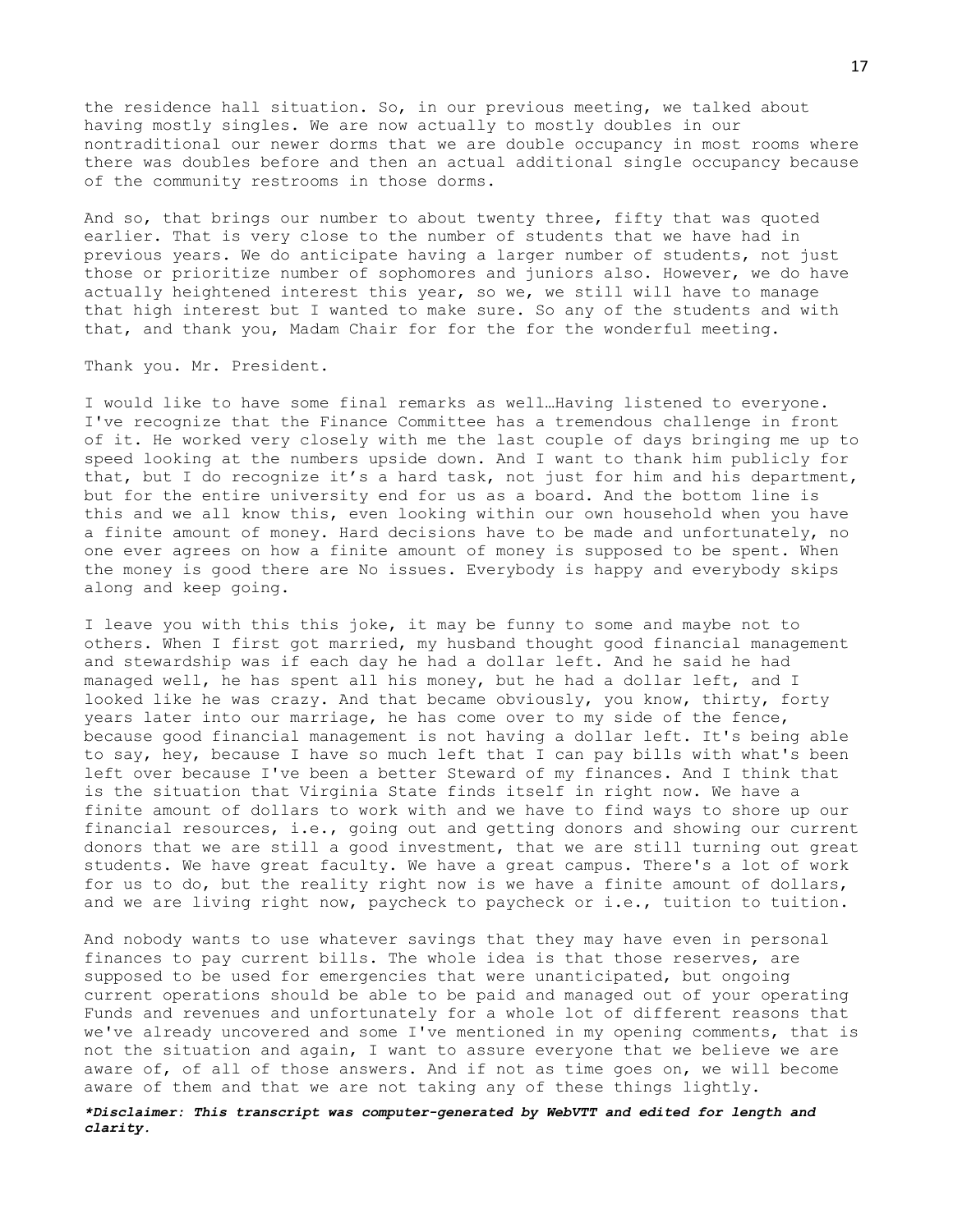the residence hall situation. So, in our previous meeting, we talked about having mostly singles. We are now actually to mostly doubles in our nontraditional our newer dorms that we are double occupancy in most rooms where there was doubles before and then an actual additional single occupancy because of the community restrooms in those dorms.

And so, that brings our number to about twenty three, fifty that was quoted earlier. That is very close to the number of students that we have had in previous years. We do anticipate having a larger number of students, not just those or prioritize number of sophomores and juniors also. However, we do have actually heightened interest this year, so we, we still will have to manage that high interest but I wanted to make sure. So any of the students and with that, and thank you, Madam Chair for for the for the wonderful meeting.

Thank you. Mr. President.

I would like to have some final remarks as well…Having listened to everyone. I've recognize that the Finance Committee has a tremendous challenge in front of it. He worked very closely with me the last couple of days bringing me up to speed looking at the numbers upside down. And I want to thank him publicly for that, but I do recognize it's a hard task, not just for him and his department, but for the entire university end for us as a board. And the bottom line is this and we all know this, even looking within our own household when you have a finite amount of money. Hard decisions have to be made and unfortunately, no one ever agrees on how a finite amount of money is supposed to be spent. When the money is good there are No issues. Everybody is happy and everybody skips along and keep going.

I leave you with this this joke, it may be funny to some and maybe not to others. When I first got married, my husband thought good financial management and stewardship was if each day he had a dollar left. And he said he had managed well, he has spent all his money, but he had a dollar left, and I looked like he was crazy. And that became obviously, you know, thirty, forty years later into our marriage, he has come over to my side of the fence, because good financial management is not having a dollar left. It's being able to say, hey, because I have so much left that I can pay bills with what's been left over because I've been a better Steward of my finances. And I think that is the situation that Virginia State finds itself in right now. We have a finite amount of dollars to work with and we have to find ways to shore up our financial resources, i.e., going out and getting donors and showing our current donors that we are still a good investment, that we are still turning out great students. We have great faculty. We have a great campus. There's a lot of work for us to do, but the reality right now is we have a finite amount of dollars, and we are living right now, paycheck to paycheck or i.e., tuition to tuition.

And nobody wants to use whatever savings that they may have even in personal finances to pay current bills. The whole idea is that those reserves, are supposed to be used for emergencies that were unanticipated, but ongoing current operations should be able to be paid and managed out of your operating Funds and revenues and unfortunately for a whole lot of different reasons that we've already uncovered and some I've mentioned in my opening comments, that is not the situation and again, I want to assure everyone that we believe we are aware of, of all of those answers. And if not as time goes on, we will become aware of them and that we are not taking any of these things lightly.